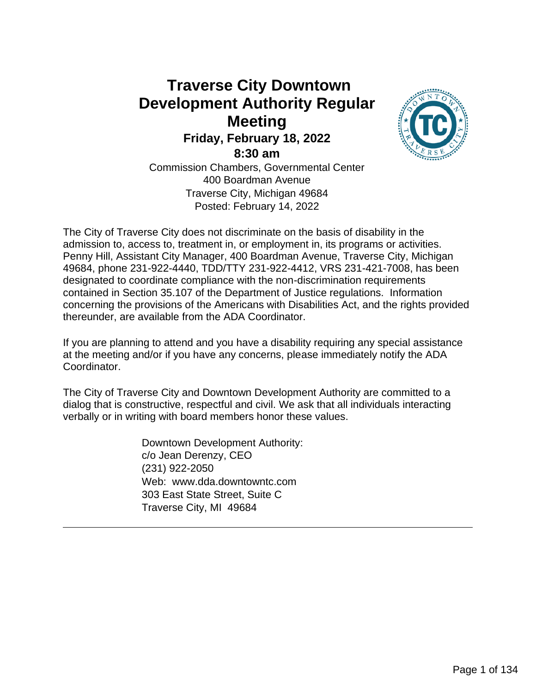## **Traverse City Downtown Development Authority Regular Meeting Friday, February 18, 2022 8:30 am**



Commission Chambers, Governmental Center 400 Boardman Avenue Traverse City, Michigan 49684 Posted: February 14, 2022

The City of Traverse City does not discriminate on the basis of disability in the admission to, access to, treatment in, or employment in, its programs or activities. Penny Hill, Assistant City Manager, 400 Boardman Avenue, Traverse City, Michigan 49684, phone 231-922-4440, TDD/TTY 231-922-4412, VRS 231-421-7008, has been designated to coordinate compliance with the non-discrimination requirements contained in Section 35.107 of the Department of Justice regulations. Information concerning the provisions of the Americans with Disabilities Act, and the rights provided thereunder, are available from the ADA Coordinator.

If you are planning to attend and you have a disability requiring any special assistance at the meeting and/or if you have any concerns, please immediately notify the ADA Coordinator.

The City of Traverse City and Downtown Development Authority are committed to a dialog that is constructive, respectful and civil. We ask that all individuals interacting verbally or in writing with board members honor these values.

> Downtown Development Authority: c/o Jean Derenzy, CEO (231) 922-2050 Web: www.dda.downtowntc.com 303 East State Street, Suite C Traverse City, MI 49684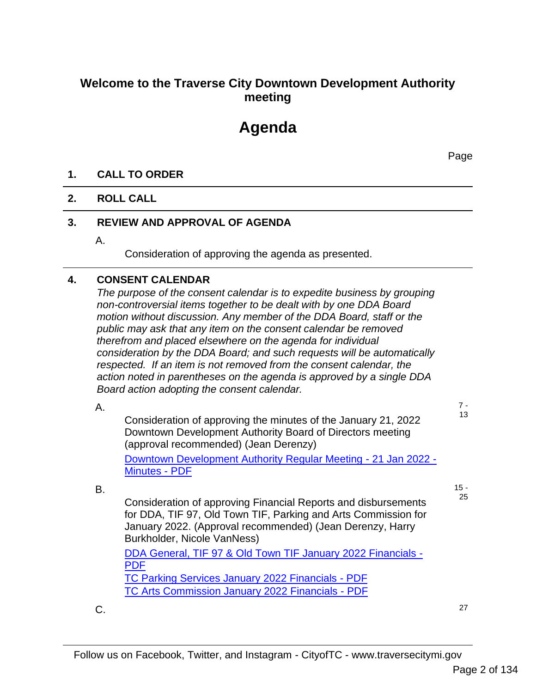## **Welcome to the Traverse City Downtown Development Authority meeting**

# **Agenda**

Page

#### **1. CALL TO ORDER**

#### **2. ROLL CALL**

#### **3. REVIEW AND APPROVAL OF AGENDA**

A.

Consideration of approving the agenda as presented.

#### **4. CONSENT CALENDAR**

*The purpose of the consent calendar is to expedite business by grouping non-controversial items together to be dealt with by one DDA Board motion without discussion. Any member of the DDA Board, staff or the public may ask that any item on the consent calendar be removed therefrom and placed elsewhere on the agenda for individual consideration by the DDA Board; and such requests will be automatically respected. If an item is not removed from the consent calendar, the action noted in parentheses on the agenda is approved by a single DDA Board action adopting the consent calendar.*

A.

B.

7 - 13

Consideration of approving the minutes of the January 21, 2022 Downtown Development Authority Board of Directors meeting (approval recommended) (Jean Derenzy) Downtown Development Authority Regular Meeting - 21 Jan 2022 -

Minutes - PDF

 $15 -$ 25

Consideration of approving Financial Reports and disbursements for DDA, TIF 97, Old Town TIF, Parking and Arts Commission for January 2022. (Approval recommended) (Jean Derenzy, Harry Burkholder, Nicole VanNess)

DDA General, TIF 97 & Old Town TIF January 2022 Financials - PDF TC Parking Services January 2022 Financials - PDF TC Arts Commission January 2022 Financials - PDF

 $C.$  27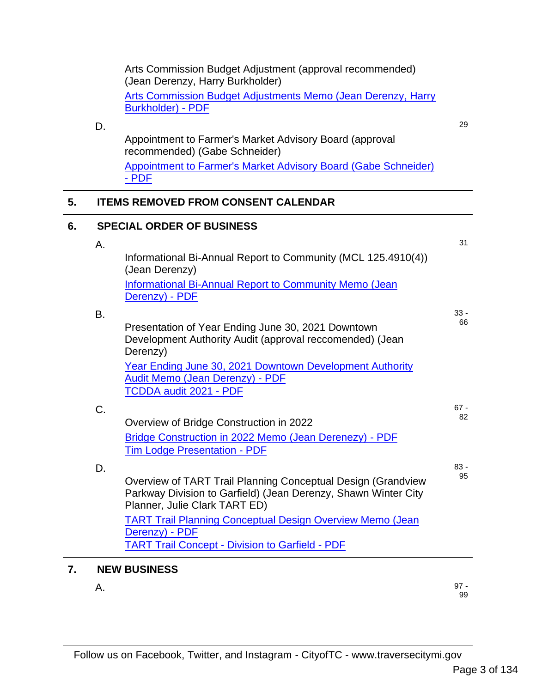|    |    | Arts Commission Budget Adjustment (approval recommended)<br>(Jean Derenzy, Harry Burkholder)                                                                    |        |
|----|----|-----------------------------------------------------------------------------------------------------------------------------------------------------------------|--------|
|    |    | <b>Arts Commission Budget Adjustments Memo (Jean Derenzy, Harry</b>                                                                                             |        |
|    |    | <b>Burkholder) - PDF</b>                                                                                                                                        |        |
|    | D. |                                                                                                                                                                 | 29     |
|    |    | Appointment to Farmer's Market Advisory Board (approval<br>recommended) (Gabe Schneider)                                                                        |        |
|    |    | <b>Appointment to Farmer's Market Advisory Board (Gabe Schneider)</b>                                                                                           |        |
|    |    | - PDF                                                                                                                                                           |        |
| 5. |    | <b>ITEMS REMOVED FROM CONSENT CALENDAR</b>                                                                                                                      |        |
| 6. |    | <b>SPECIAL ORDER OF BUSINESS</b>                                                                                                                                |        |
|    | Α. |                                                                                                                                                                 | 31     |
|    |    | Informational Bi-Annual Report to Community (MCL 125.4910(4))<br>(Jean Derenzy)                                                                                 |        |
|    |    | <b>Informational Bi-Annual Report to Community Memo (Jean</b><br>Derenzy) - PDF                                                                                 |        |
|    | Β. |                                                                                                                                                                 | $33 -$ |
|    |    | Presentation of Year Ending June 30, 2021 Downtown<br>Development Authority Audit (approval reccomended) (Jean<br>Derenzy)                                      | 66     |
|    |    | <b>Year Ending June 30, 2021 Downtown Development Authority</b><br><b>Audit Memo (Jean Derenzy) - PDF</b>                                                       |        |
|    |    | TCDDA audit 2021 - PDF                                                                                                                                          |        |
|    | C. |                                                                                                                                                                 | $67 -$ |
|    |    | Overview of Bridge Construction in 2022                                                                                                                         | 82     |
|    |    | Bridge Construction in 2022 Memo (Jean Derenezy) - PDF                                                                                                          |        |
|    |    | <b>Tim Lodge Presentation - PDF</b>                                                                                                                             |        |
|    | D. |                                                                                                                                                                 | $83 -$ |
|    |    | Overview of TART Trail Planning Conceptual Design (Grandview<br>Parkway Division to Garfield) (Jean Derenzy, Shawn Winter City<br>Planner, Julie Clark TART ED) | 95     |
|    |    | <b>TART Trail Planning Conceptual Design Overview Memo (Jean</b><br>Derenzy) - PDF                                                                              |        |
|    |    | <b>TART Trail Concept - Division to Garfield - PDF</b>                                                                                                          |        |
| 7. |    | <b>NEW BUSINESS</b>                                                                                                                                             |        |

 $A.$  97 -97 -<br>99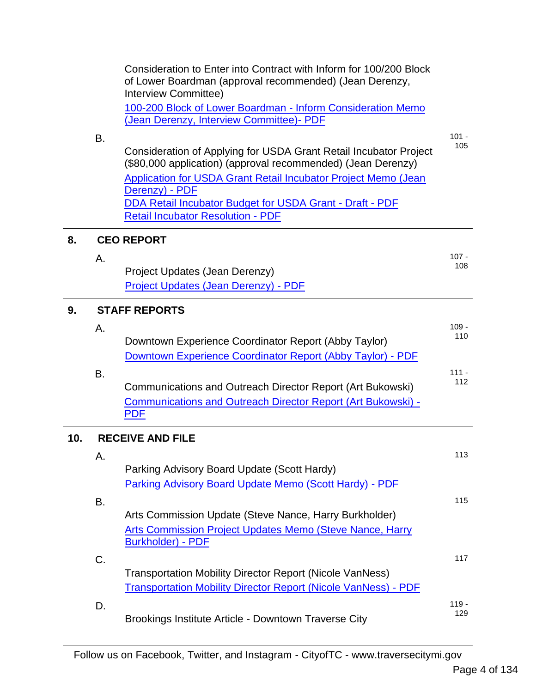|     | В. | Consideration to Enter into Contract with Inform for 100/200 Block<br>of Lower Boardman (approval recommended) (Jean Derenzy,<br>Interview Committee)<br>100-200 Block of Lower Boardman - Inform Consideration Memo<br>(Jean Derenzy, Interview Committee)- PDF<br>Consideration of Applying for USDA Grant Retail Incubator Project<br>(\$80,000 application) (approval recommended) (Jean Derenzy) | $101 -$<br>105 |
|-----|----|-------------------------------------------------------------------------------------------------------------------------------------------------------------------------------------------------------------------------------------------------------------------------------------------------------------------------------------------------------------------------------------------------------|----------------|
|     |    | <b>Application for USDA Grant Retail Incubator Project Memo (Jean</b><br>Derenzy) - PDF<br>DDA Retail Incubator Budget for USDA Grant - Draft - PDF<br><b>Retail Incubator Resolution - PDF</b>                                                                                                                                                                                                       |                |
| 8.  |    | <b>CEO REPORT</b>                                                                                                                                                                                                                                                                                                                                                                                     |                |
|     | А. | Project Updates (Jean Derenzy)<br>Project Updates (Jean Derenzy) - PDF                                                                                                                                                                                                                                                                                                                                | $107 -$<br>108 |
| 9.  |    | <b>STAFF REPORTS</b>                                                                                                                                                                                                                                                                                                                                                                                  |                |
|     | А. | Downtown Experience Coordinator Report (Abby Taylor)<br>Downtown Experience Coordinator Report (Abby Taylor) - PDF                                                                                                                                                                                                                                                                                    | $109 -$<br>110 |
|     | Β. | Communications and Outreach Director Report (Art Bukowski)<br>Communications and Outreach Director Report (Art Bukowski) -<br><b>PDF</b>                                                                                                                                                                                                                                                              | $111 -$<br>112 |
| 10. |    | <b>RECEIVE AND FILE</b>                                                                                                                                                                                                                                                                                                                                                                               |                |
|     | Α. | Parking Advisory Board Update (Scott Hardy)<br><b>Parking Advisory Board Update Memo (Scott Hardy) - PDF</b>                                                                                                                                                                                                                                                                                          | 113            |
|     | В. | Arts Commission Update (Steve Nance, Harry Burkholder)<br><b>Arts Commission Project Updates Memo (Steve Nance, Harry</b><br><b>Burkholder) - PDF</b>                                                                                                                                                                                                                                                 | 115            |
|     | C. | <b>Transportation Mobility Director Report (Nicole VanNess)</b><br><b>Transportation Mobility Director Report (Nicole VanNess) - PDF</b>                                                                                                                                                                                                                                                              | 117            |
|     | D. | Brookings Institute Article - Downtown Traverse City                                                                                                                                                                                                                                                                                                                                                  | $119 -$<br>129 |

Follow us on Facebook, Twitter, and Instagram - CityofTC - www.traversecitymi.gov